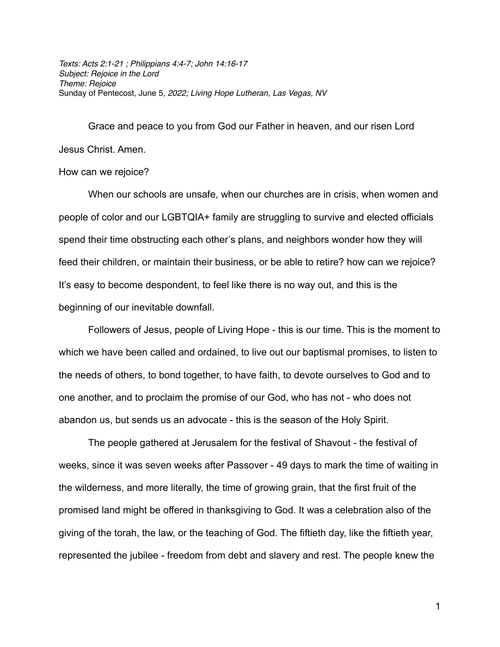*Texts: Acts 2:1-21 ; Philippians 4:4-7; John 14:16-17 Subject: Rejoice in the Lord Theme: Rejoice* Sunday of Pentecost, June 5*, 2022; Living Hope Lutheran, Las Vegas, NV*

Grace and peace to you from God our Father in heaven, and our risen Lord Jesus Christ. Amen.

## How can we rejoice?

When our schools are unsafe, when our churches are in crisis, when women and people of color and our LGBTQIA+ family are struggling to survive and elected officials spend their time obstructing each other's plans, and neighbors wonder how they will feed their children, or maintain their business, or be able to retire? how can we rejoice? It's easy to become despondent, to feel like there is no way out, and this is the beginning of our inevitable downfall.

Followers of Jesus, people of Living Hope - this is our time. This is the moment to which we have been called and ordained, to live out our baptismal promises, to listen to the needs of others, to bond together, to have faith, to devote ourselves to God and to one another, and to proclaim the promise of our God, who has not - who does not abandon us, but sends us an advocate - this is the season of the Holy Spirit.

The people gathered at Jerusalem for the festival of Shavout - the festival of weeks, since it was seven weeks after Passover - 49 days to mark the time of waiting in the wilderness, and more literally, the time of growing grain, that the first fruit of the promised land might be offered in thanksgiving to God. It was a celebration also of the giving of the torah, the law, or the teaching of God. The fiftieth day, like the fiftieth year, represented the jubilee - freedom from debt and slavery and rest. The people knew the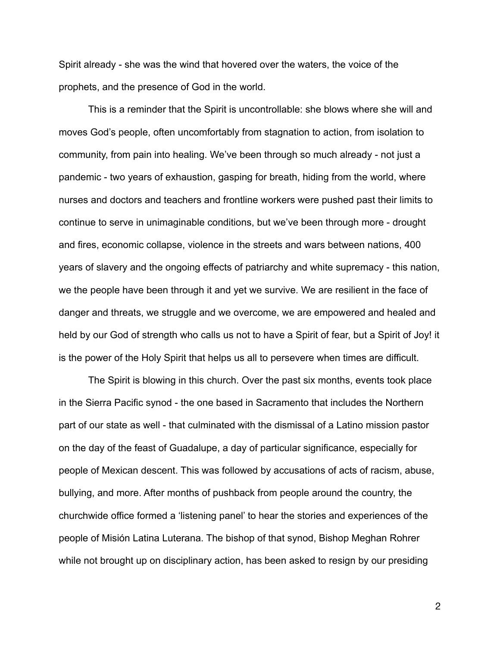Spirit already - she was the wind that hovered over the waters, the voice of the prophets, and the presence of God in the world.

This is a reminder that the Spirit is uncontrollable: she blows where she will and moves God's people, often uncomfortably from stagnation to action, from isolation to community, from pain into healing. We've been through so much already - not just a pandemic - two years of exhaustion, gasping for breath, hiding from the world, where nurses and doctors and teachers and frontline workers were pushed past their limits to continue to serve in unimaginable conditions, but we've been through more - drought and fires, economic collapse, violence in the streets and wars between nations, 400 years of slavery and the ongoing effects of patriarchy and white supremacy - this nation, we the people have been through it and yet we survive. We are resilient in the face of danger and threats, we struggle and we overcome, we are empowered and healed and held by our God of strength who calls us not to have a Spirit of fear, but a Spirit of Joy! it is the power of the Holy Spirit that helps us all to persevere when times are difficult.

The Spirit is blowing in this church. Over the past six months, events took place in the Sierra Pacific synod - the one based in Sacramento that includes the Northern part of our state as well - that culminated with the dismissal of a Latino mission pastor on the day of the feast of Guadalupe, a day of particular significance, especially for people of Mexican descent. This was followed by accusations of acts of racism, abuse, bullying, and more. After months of pushback from people around the country, the churchwide office formed a 'listening panel' to hear the stories and experiences of the people of Misión Latina Luterana. The bishop of that synod, Bishop Meghan Rohrer while not brought up on disciplinary action, has been asked to resign by our presiding

2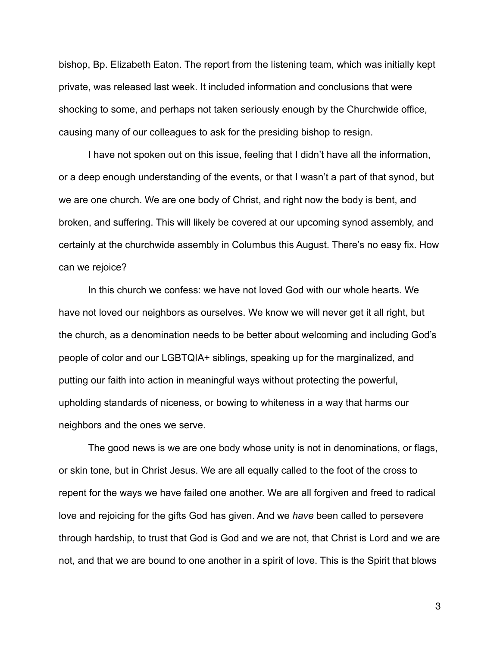bishop, Bp. Elizabeth Eaton. The report from the listening team, which was initially kept private, was released last week. It included information and conclusions that were shocking to some, and perhaps not taken seriously enough by the Churchwide office, causing many of our colleagues to ask for the presiding bishop to resign.

I have not spoken out on this issue, feeling that I didn't have all the information, or a deep enough understanding of the events, or that I wasn't a part of that synod, but we are one church. We are one body of Christ, and right now the body is bent, and broken, and suffering. This will likely be covered at our upcoming synod assembly, and certainly at the churchwide assembly in Columbus this August. There's no easy fix. How can we rejoice?

In this church we confess: we have not loved God with our whole hearts. We have not loved our neighbors as ourselves. We know we will never get it all right, but the church, as a denomination needs to be better about welcoming and including God's people of color and our LGBTQIA+ siblings, speaking up for the marginalized, and putting our faith into action in meaningful ways without protecting the powerful, upholding standards of niceness, or bowing to whiteness in a way that harms our neighbors and the ones we serve.

The good news is we are one body whose unity is not in denominations, or flags, or skin tone, but in Christ Jesus. We are all equally called to the foot of the cross to repent for the ways we have failed one another. We are all forgiven and freed to radical love and rejoicing for the gifts God has given. And we *have* been called to persevere through hardship, to trust that God is God and we are not, that Christ is Lord and we are not, and that we are bound to one another in a spirit of love. This is the Spirit that blows

3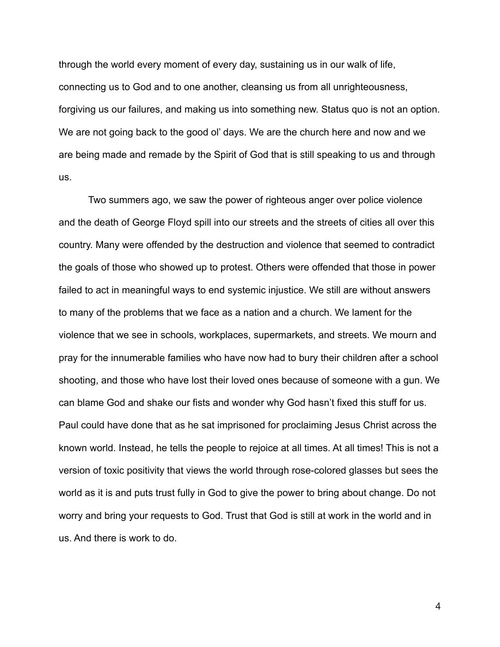through the world every moment of every day, sustaining us in our walk of life, connecting us to God and to one another, cleansing us from all unrighteousness, forgiving us our failures, and making us into something new. Status quo is not an option. We are not going back to the good ol' days. We are the church here and now and we are being made and remade by the Spirit of God that is still speaking to us and through us.

Two summers ago, we saw the power of righteous anger over police violence and the death of George Floyd spill into our streets and the streets of cities all over this country. Many were offended by the destruction and violence that seemed to contradict the goals of those who showed up to protest. Others were offended that those in power failed to act in meaningful ways to end systemic injustice. We still are without answers to many of the problems that we face as a nation and a church. We lament for the violence that we see in schools, workplaces, supermarkets, and streets. We mourn and pray for the innumerable families who have now had to bury their children after a school shooting, and those who have lost their loved ones because of someone with a gun. We can blame God and shake our fists and wonder why God hasn't fixed this stuff for us. Paul could have done that as he sat imprisoned for proclaiming Jesus Christ across the known world. Instead, he tells the people to rejoice at all times. At all times! This is not a version of toxic positivity that views the world through rose-colored glasses but sees the world as it is and puts trust fully in God to give the power to bring about change. Do not worry and bring your requests to God. Trust that God is still at work in the world and in us. And there is work to do.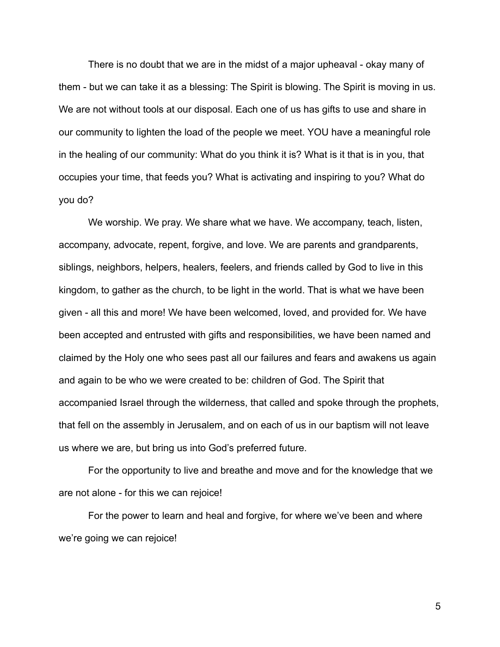There is no doubt that we are in the midst of a major upheaval - okay many of them - but we can take it as a blessing: The Spirit is blowing. The Spirit is moving in us. We are not without tools at our disposal. Each one of us has gifts to use and share in our community to lighten the load of the people we meet. YOU have a meaningful role in the healing of our community: What do you think it is? What is it that is in you, that occupies your time, that feeds you? What is activating and inspiring to you? What do you do?

We worship. We pray. We share what we have. We accompany, teach, listen, accompany, advocate, repent, forgive, and love. We are parents and grandparents, siblings, neighbors, helpers, healers, feelers, and friends called by God to live in this kingdom, to gather as the church, to be light in the world. That is what we have been given - all this and more! We have been welcomed, loved, and provided for. We have been accepted and entrusted with gifts and responsibilities, we have been named and claimed by the Holy one who sees past all our failures and fears and awakens us again and again to be who we were created to be: children of God. The Spirit that accompanied Israel through the wilderness, that called and spoke through the prophets, that fell on the assembly in Jerusalem, and on each of us in our baptism will not leave us where we are, but bring us into God's preferred future.

For the opportunity to live and breathe and move and for the knowledge that we are not alone - for this we can rejoice!

For the power to learn and heal and forgive, for where we've been and where we're going we can rejoice!

5